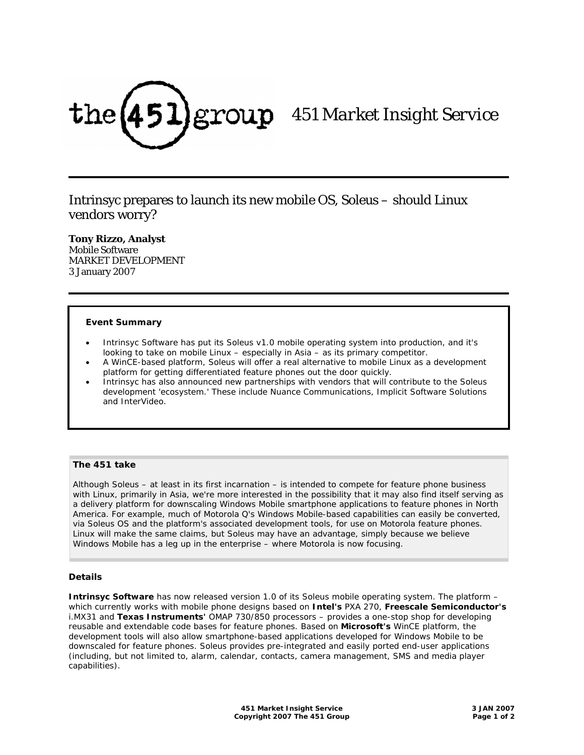

# *451 Market Insight Service*

Intrinsyc prepares to launch its new mobile OS, Soleus – should Linux vendors worry?

**Tony Rizzo, Analyst** 

Mobile Software MARKET DEVELOPMENT 3 January 2007

#### **Event Summary**

- Intrinsyc Software has put its Soleus v1.0 mobile operating system into production, and it's looking to take on mobile Linux – especially in Asia – as its primary competitor.
- A WinCE-based platform, Soleus will offer a real alternative to mobile Linux as a development platform for getting differentiated feature phones out the door quickly.
- Intrinsyc has also announced new partnerships with vendors that will contribute to the Soleus development 'ecosystem.' These include Nuance Communications, Implicit Software Solutions and InterVideo.

# **The 451 take**

Although Soleus – at least in its first incarnation – is intended to compete for feature phone business with Linux, primarily in Asia, we're more interested in the possibility that it may also find itself serving as a delivery platform for downscaling Windows Mobile smartphone applications to feature phones in North America. For example, much of Motorola Q's Windows Mobile-based capabilities can easily be converted, via Soleus OS and the platform's associated development tools, for use on Motorola feature phones. Linux will make the same claims, but Soleus may have an advantage, simply because we believe Windows Mobile has a leg up in the enterprise – where Motorola is now focusing.

#### **Details**

**Intrinsyc Software** has now released version 1.0 of its Soleus mobile operating system. The platform – which currently works with mobile phone designs based on **Intel's** PXA 270, **Freescale Semiconductor's** i.MX31 and **Texas Instruments'** OMAP 730/850 processors – provides a one-stop shop for developing reusable and extendable code bases for feature phones. Based on **Microsoft's** WinCE platform, the development tools will also allow smartphone-based applications developed for Windows Mobile to be downscaled for feature phones. Soleus provides pre-integrated and easily ported end-user applications (including, but not limited to, alarm, calendar, contacts, camera management, SMS and media player capabilities).